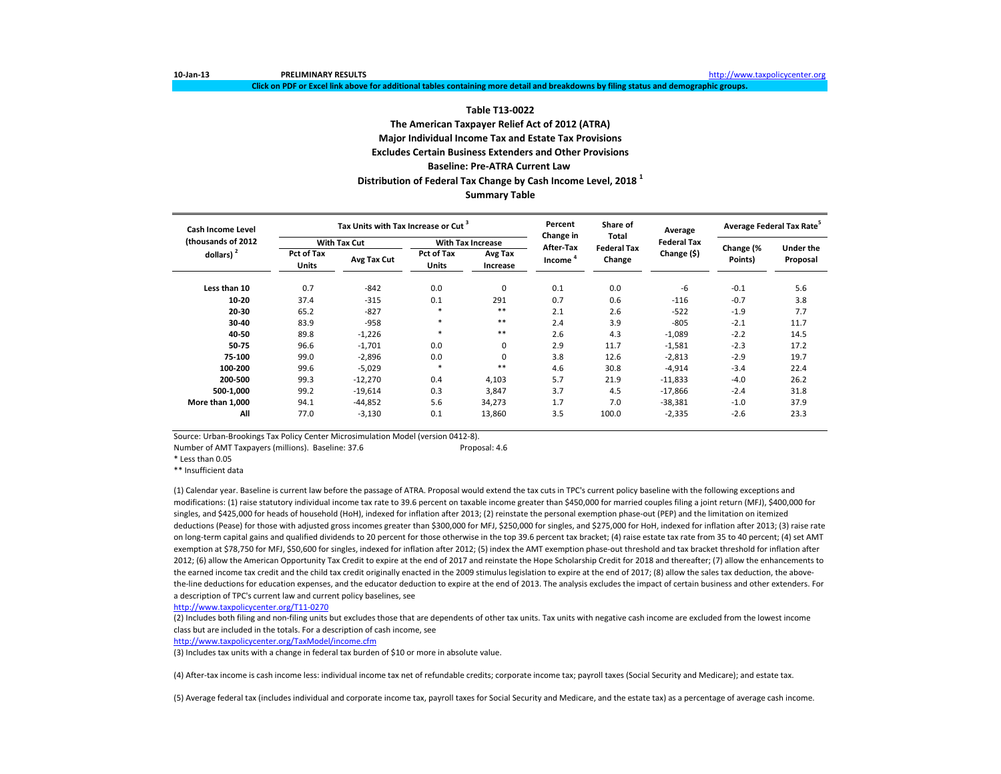**Click on PDF or Excel link above for additional tables containing more detail and breakdowns by filing status and demographic groups.**

### **Table T13-0022 The American Taxpayer Relief Act of 2012 (ATRA) Major Individual Income Tax and Estate Tax Provisions Excludes Certain Business Extenders and Other Provisions Baseline: Pre-ATRA Current Law Distribution of Federal Tax Change by Cash Income Level, 2018 <sup>1</sup> Summary Table**

| <b>Cash Income Level</b> |                                                  | Tax Units with Tax Increase or Cut <sup>3</sup> |                            |                          | Percent<br>Change in             | Share of<br>Total            | Average            | Average Federal Tax Rate <sup>5</sup> |                  |
|--------------------------|--------------------------------------------------|-------------------------------------------------|----------------------------|--------------------------|----------------------------------|------------------------------|--------------------|---------------------------------------|------------------|
| (thousands of 2012)      |                                                  | <b>With Tax Cut</b>                             |                            | <b>With Tax Increase</b> |                                  |                              | <b>Federal Tax</b> |                                       | <b>Under the</b> |
| dollars) $2$             | <b>Pct of Tax</b><br>Avg Tax Cut<br><b>Units</b> |                                                 | Pct of Tax<br><b>Units</b> | Avg Tax<br>Increase      | After-Tax<br>Income <sup>4</sup> | <b>Federal Tax</b><br>Change | Change (\$)        | Change (%<br>Points)                  | Proposal         |
| Less than 10             | 0.7                                              | $-842$                                          | 0.0                        | $\mathbf 0$              | 0.1                              | 0.0                          | -6                 | $-0.1$                                | 5.6              |
| 10-20                    | 37.4                                             | $-315$                                          | 0.1                        | 291                      | 0.7                              | 0.6                          | $-116$             | $-0.7$                                | 3.8              |
| 20-30                    | 65.2                                             | $-827$                                          | $\ast$                     | $***$                    | 2.1                              | 2.6                          | $-522$             | $-1.9$                                | 7.7              |
| 30-40                    | 83.9                                             | $-958$                                          | $\ast$                     | $***$                    | 2.4                              | 3.9                          | $-805$             | $-2.1$                                | 11.7             |
| 40-50                    | 89.8                                             | $-1,226$                                        | $\ast$                     | $***$                    | 2.6                              | 4.3                          | $-1,089$           | $-2.2$                                | 14.5             |
| 50-75                    | 96.6                                             | $-1,701$                                        | 0.0                        | 0                        | 2.9                              | 11.7                         | $-1,581$           | $-2.3$                                | 17.2             |
| 75-100                   | 99.0                                             | $-2,896$                                        | 0.0                        | $\Omega$                 | 3.8                              | 12.6                         | $-2,813$           | $-2.9$                                | 19.7             |
| 100-200                  | 99.6                                             | $-5,029$                                        | $\ast$                     | $***$                    | 4.6                              | 30.8                         | $-4,914$           | $-3.4$                                | 22.4             |
| 200-500                  | 99.3                                             | $-12,270$                                       | 0.4                        | 4,103                    | 5.7                              | 21.9                         | $-11,833$          | $-4.0$                                | 26.2             |
| 500-1,000                | 99.2                                             | $-19,614$                                       | 0.3                        | 3,847                    | 3.7                              | 4.5                          | $-17,866$          | $-2.4$                                | 31.8             |
| More than 1,000          | 94.1                                             | $-44,852$                                       | 5.6                        | 34,273                   | 1.7                              | 7.0                          | $-38,381$          | $-1.0$                                | 37.9             |
| All                      | 77.0                                             | $-3,130$                                        | 0.1                        | 13,860                   | 3.5                              | 100.0                        | $-2,335$           | $-2.6$                                | 23.3             |

Source: Urban-Brookings Tax Policy Center Microsimulation Model (version 0412-8).

Number of AMT Taxpayers (millions). Baseline: 37.6 Proposal: 4.6

\* Less than 0.05

\*\* Insufficient data

(1) Calendar year. Baseline is current law before the passage of ATRA. Proposal would extend the tax cuts in TPC's current policy baseline with the following exceptions and modifications: (1) raise statutory individual income tax rate to 39.6 percent on taxable income greater than \$450,000 for married couples filing a joint return (MFJ), \$400,000 for singles, and \$425,000 for heads of household (HoH), indexed for inflation after 2013; (2) reinstate the personal exemption phase-out (PEP) and the limitation on itemized deductions (Pease) for those with adjusted gross incomes greater than \$300,000 for MFJ, \$250,000 for singles, and \$275,000 for HoH, indexed for inflation after 2013; (3) raise rate on long-term capital gains and qualified dividends to 20 percent for those otherwise in the top 39.6 percent tax bracket; (4) raise estate tax rate from 35 to 40 percent; (4) set AMT exemption at \$78,750 for MFJ, \$50,600 for singles, indexed for inflation after 2012; (5) index the AMT exemption phase-out threshold and tax bracket threshold for inflation after 2012; (6) allow the American Opportunity Tax Credit to expire at the end of 2017 and reinstate the Hope Scholarship Credit for 2018 and thereafter; (7) allow the enhancements to the earned income tax credit and the child tax credit originally enacted in the 2009 stimulus legislation to expire at the end of 2017; (8) allow the sales tax deduction, the abovethe-line deductions for education expenses, and the educator deduction to expire at the end of 2013. The analysis excludes the impact of certain business and other extenders. For a description of TPC's current law and current policy baselines, see

<http://www.taxpolicycenter.org/T11-0270>

(2) Includes both filing and non-filing units but excludes those that are dependents of other tax units. Tax units with negative cash income are excluded from the lowest income class but are included in the totals. For a description of cash income, see

<http://www.taxpolicycenter.org/TaxModel/income.cfm>

(3) Includes tax units with a change in federal tax burden of \$10 or more in absolute value.

(4) After-tax income is cash income less: individual income tax net of refundable credits; corporate income tax; payroll taxes (Social Security and Medicare); and estate tax.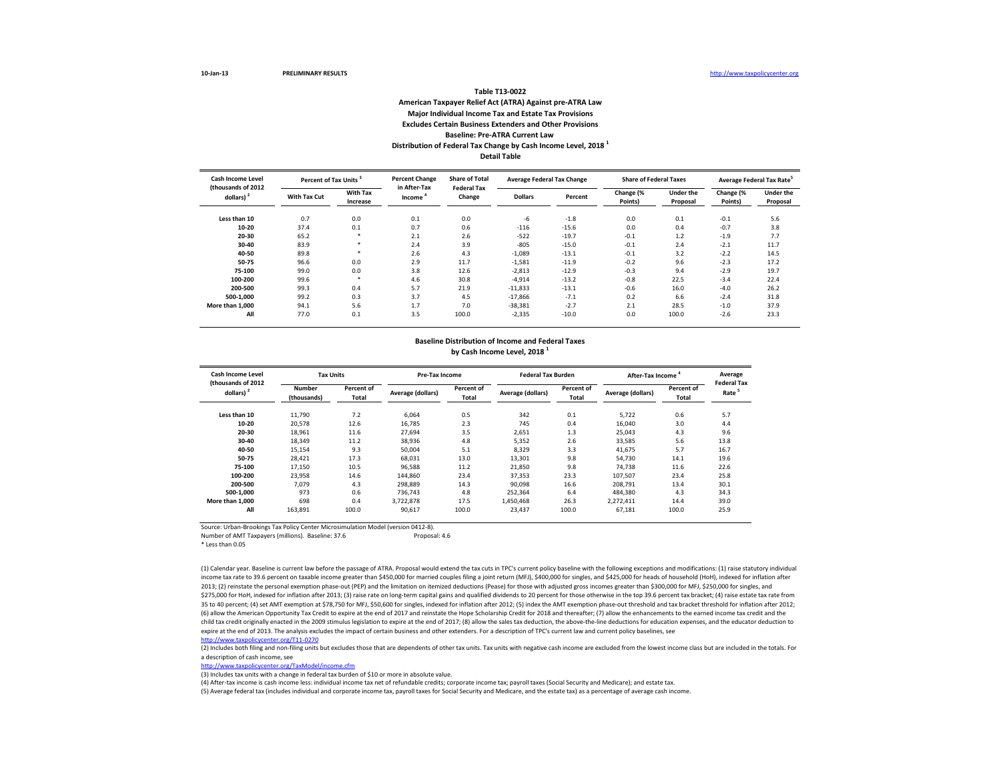### **Table T13-0022 American Taxpayer Relief Act (ATRA) Against pre-ATRA Law Major Individual Income Tax and Estate Tax Provisions Excludes Certain Business Extenders and Other Provisions Baseline: Pre-ATRA Current Law Distribution of Federal Tax Change by Cash Income Level, 2018 1**

**Detail Table**

| Cash Income Level<br>(thousands of 2012) | <b>Percent of Tax Units</b> |                             | <b>Percent Change</b><br>in After-Tax | <b>Share of Total</b><br><b>Federal Tax</b> |                | <b>Average Federal Tax Change</b> | <b>Share of Federal Taxes</b> |                              |                      | Average Federal Tax Rate <sup>2</sup> |
|------------------------------------------|-----------------------------|-----------------------------|---------------------------------------|---------------------------------------------|----------------|-----------------------------------|-------------------------------|------------------------------|----------------------|---------------------------------------|
| dollars) <sup>2</sup>                    | With Tax Cut                | <b>With Tax</b><br>Increase | Income                                | Change                                      | <b>Dollars</b> | Percent                           | Change (%<br>Points)          | <b>Under the</b><br>Proposal | Change (%<br>Points) | <b>Under the</b><br>Proposal          |
| Less than 10                             | 0.7                         | 0.0                         | 0.1                                   | 0.0                                         | -6             | $-1.8$                            | 0.0                           | 0.1                          | $-0.1$               | 5.6                                   |
| 10-20                                    | 37.4                        | 0.1                         | 0.7                                   | 0.6                                         | $-116$         | $-15.6$                           | 0.0                           | 0.4                          | $-0.7$               | 3.8                                   |
| 20-30                                    | 65.2                        |                             | 2.1                                   | 2.6                                         | $-522$         | $-19.7$                           | $-0.1$                        | 1.2                          | $-1.9$               | 7.7                                   |
| 30-40                                    | 83.9                        | $\ast$                      | 2.4                                   | 3.9                                         | $-805$         | $-15.0$                           | $-0.1$                        | 2.4                          | $-2.1$               | 11.7                                  |
| 40-50                                    | 89.8                        | $\ast$                      | 2.6                                   | 4.3                                         | $-1,089$       | $-13.1$                           | $-0.1$                        | 3.2                          | $-2.2$               | 14.5                                  |
| 50-75                                    | 96.6                        | 0.0                         | 2.9                                   | 11.7                                        | $-1,581$       | $-11.9$                           | $-0.2$                        | 9.6                          | $-2.3$               | 17.2                                  |
| 75-100                                   | 99.0                        | 0.0                         | 3.8                                   | 12.6                                        | $-2,813$       | $-12.9$                           | $-0.3$                        | 9.4                          | $-2.9$               | 19.7                                  |
| 100-200                                  | 99.6                        | ×                           | 4.6                                   | 30.8                                        | $-4,914$       | $-13.2$                           | $-0.8$                        | 22.5                         | $-3.4$               | 22.4                                  |
| 200-500                                  | 99.3                        | 0.4                         | 5.7                                   | 21.9                                        | $-11,833$      | $-13.1$                           | $-0.6$                        | 16.0                         | $-4.0$               | 26.2                                  |
| 500-1.000                                | 99.2                        | 0.3                         | 3.7                                   | 4.5                                         | $-17.866$      | $-7.1$                            | 0.2                           | 6.6                          | $-2.4$               | 31.8                                  |
| More than 1.000                          | 94.1                        | 5.6                         | 1.7                                   | 7.0                                         | $-38,381$      | $-2.7$                            | 2.1                           | 28.5                         | $-1.0$               | 37.9                                  |
| All                                      | 77.0                        | 0.1                         | 3.5                                   | 100.0                                       | $-2,335$       | $-10.0$                           | 0.0                           | 100.0                        | $-2.6$               | 23.3                                  |

#### **Baseline Distribution of Income and Federal Taxes by Cash Income Level, 2018 1**

| <b>Cash Income Level</b><br>(thousands of 2012 | <b>Tax Units</b>             |                     | Pre-Tax Income    |                     | <b>Federal Tax Burden</b> |                     | After-Tax Income <sup>4</sup> | Average<br><b>Federal Tax</b> |                   |
|------------------------------------------------|------------------------------|---------------------|-------------------|---------------------|---------------------------|---------------------|-------------------------------|-------------------------------|-------------------|
| dollars) <sup>2</sup>                          | <b>Number</b><br>(thousands) | Percent of<br>Total | Average (dollars) | Percent of<br>Total | Average (dollars)         | Percent of<br>Total | Average (dollars)             | Percent of<br>Total           | Rate <sup>5</sup> |
| Less than 10                                   | 11.790                       | 7.2                 | 6.064             | 0.5                 | 342                       | 0.1                 | 5.722                         | 0.6                           | 5.7               |
| 10-20                                          | 20.578                       | 12.6                | 16.785            | 2.3                 | 745                       | 0.4                 | 16,040                        | 3.0                           | 4.4               |
| 20-30                                          | 18.961                       | 11.6                | 27.694            | 3.5                 | 2,651                     | 1.3                 | 25,043                        | 4.3                           | 9.6               |
| 30-40                                          | 18,349                       | 11.2                | 38,936            | 4.8                 | 5,352                     | 2.6                 | 33,585                        | 5.6                           | 13.8              |
| 40-50                                          | 15,154                       | 9.3                 | 50,004            | 5.1                 | 8,329                     | 3.3                 | 41,675                        | 5.7                           | 16.7              |
| 50-75                                          | 28.421                       | 17.3                | 68.031            | 13.0                | 13,301                    | 9.8                 | 54.730                        | 14.1                          | 19.6              |
| 75-100                                         | 17,150                       | 10.5                | 96,588            | 11.2                | 21,850                    | 9.8                 | 74,738                        | 11.6                          | 22.6              |
| 100-200                                        | 23.958                       | 14.6                | 144,860           | 23.4                | 37,353                    | 23.3                | 107,507                       | 23.4                          | 25.8              |
| 200-500                                        | 7.079                        | 4.3                 | 298.889           | 14.3                | 90.098                    | 16.6                | 208,791                       | 13.4                          | 30.1              |
| 500-1.000                                      | 973                          | 0.6                 | 736,743           | 4.8                 | 252,364                   | 6.4                 | 484,380                       | 4.3                           | 34.3              |
| More than 1.000                                | 698                          | 0.4                 | 3,722,878         | 17.5                | 1.450.468                 | 26.3                | 2,272,411                     | 14.4                          | 39.0              |
| All                                            | 163,891                      | 100.0               | 90.617            | 100.0               | 23.437                    | 100.0               | 67.181                        | 100.0                         | 25.9              |

Source: Urban-Brookings Tax Policy Center Microsimulation Model (version 0412-8). Number of AMT Taxpayers (millions). Baseline: 37.6

\* Less than 0.05

(1) Calendar year. Baseline is current law before the passage of ATRA. Proposal would extend the tax cuts in TPC's current policy baseline with the following exceptions and modifications: (1) raise statutory individual income tax rate to 39.6 percent on taxable income greater than \$450,000 for married couples filing a joint return (MFJ), \$400,000 for singles, and \$425,000 for heads of household (HoH), indexed for inflation after 2013; (2) reinstate the personal exemption phase-out (PEP) and the limitation on itemized deductions (Pease) for those with adjusted gross incomes greater than \$300,000 for MFJ, \$250,000 for singles, and \$275,000 for HoH, indexed for inflation after 2013; (3) raise rate on long-term capital gains and qualified dividends to 20 percent for those otherwise in the top 39.6 percent tax bracket; (4) raise estate tax rate from 35 to 40 percent; (4) set AMT exemption at \$78,750 for MFJ, \$50,600 for singles, indexed for inflation after 2012; (5) index the AMT exemption phase-out threshold and tax bracket threshold for inflation after 2012; (6) allow the American Opportunity Tax Credit to expire at the end of 2017 and reinstate the Hope Scholarship Credit for 2018 and thereafter; (7) allow the enhancements to the earned income tax credit and the child tax credit originally enacted in the 2009 stimulus legislation to expire at the end of 2017; (8) allow the sales tax deduction, the above-the-line deductions for education expenses, and the educator deduction to expire at the end of 2013. The analysis excludes the impact of certain business and other extenders. For a description of TPC's current law and current policy baselines, see <http://www.taxpolicycenter.org/T11-0270>

(2) Includes both filing and non-filing units but excludes those that are dependents of other tax units. Tax units with negative cash income are excluded from the lowest income class but are included in the totals. For a description of cash income, see

<http://www.taxpolicycenter.org/TaxModel/income.cfm>

(3) Includes tax units with a change in federal tax burden of \$10 or more in absolute value.

(4) After-tax income is cash income less: individual income tax net of refundable credits; corporate income tax; payroll taxes (Social Security and Medicare); and estate tax.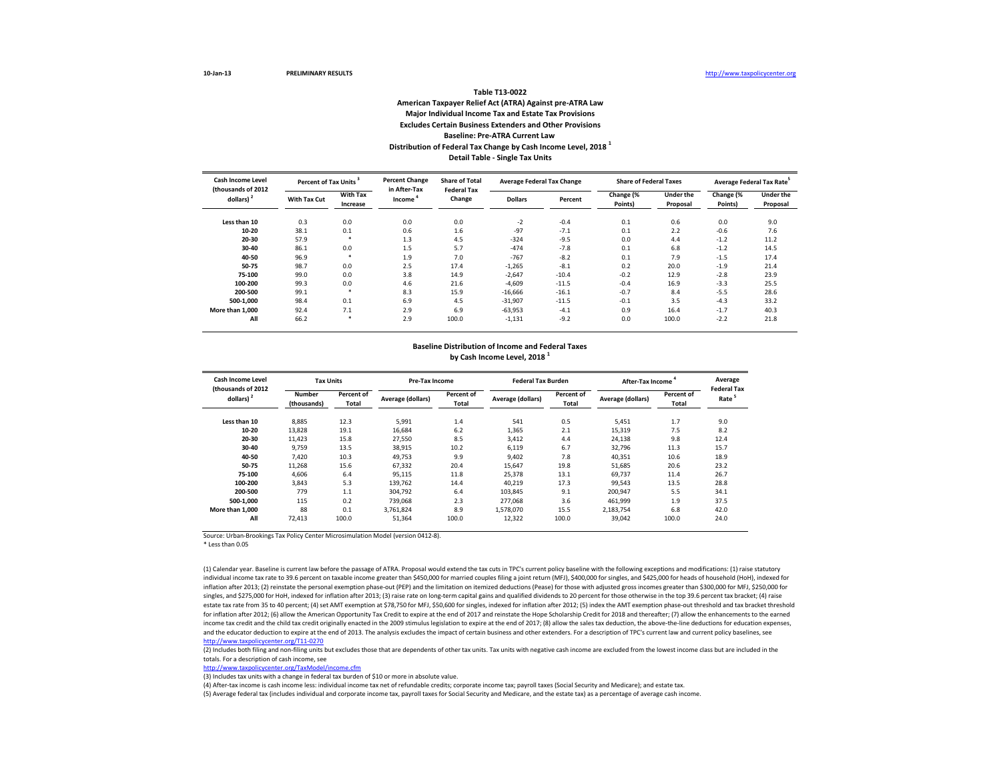#### **Table T13-0022 American Taxpayer Relief Act (ATRA) Against pre-ATRA Law Major Individual Income Tax and Estate Tax Provisions Excludes Certain Business Extenders and Other Provisions Baseline: Pre-ATRA Current Law Distribution of Federal Tax Change by Cash Income Level, 2018 <sup>1</sup> Detail Table - Single Tax Units**

| Cash Income Level<br>(thousands of 2012 | Percent of Tax Units <sup>3</sup> |                             | <b>Percent Change</b><br>in After-Tax | <b>Share of Total</b><br><b>Federal Tax</b> | <b>Average Federal Tax Change</b> |         | <b>Share of Federal Taxes</b> |                              | Average Federal Tax Rate |                              |
|-----------------------------------------|-----------------------------------|-----------------------------|---------------------------------------|---------------------------------------------|-----------------------------------|---------|-------------------------------|------------------------------|--------------------------|------------------------------|
| dollars) $2$                            | <b>With Tax Cut</b>               | <b>With Tax</b><br>Increase | Income                                | Change                                      | <b>Dollars</b>                    | Percent | Change (%<br>Points)          | <b>Under the</b><br>Proposal | Change (%<br>Points)     | <b>Under the</b><br>Proposal |
| Less than 10                            | 0.3                               | 0.0                         | 0.0                                   | 0.0                                         | $-2$                              | $-0.4$  | 0.1                           | 0.6                          | 0.0                      | 9.0                          |
| $10 - 20$                               | 38.1                              | 0.1                         | 0.6                                   | 1.6                                         | $-97$                             | $-7.1$  | 0.1                           | 2.2                          | $-0.6$                   | 7.6                          |
| 20-30                                   | 57.9                              | $\ast$                      | 1.3                                   | 4.5                                         | $-324$                            | $-9.5$  | 0.0                           | 4.4                          | $-1.2$                   | 11.2                         |
| 30-40                                   | 86.1                              | 0.0                         | 1.5                                   | 5.7                                         | $-474$                            | $-7.8$  | 0.1                           | 6.8                          | $-1.2$                   | 14.5                         |
| 40-50                                   | 96.9                              | $\ast$                      | 1.9                                   | 7.0                                         | $-767$                            | $-8.2$  | 0.1                           | 7.9                          | $-1.5$                   | 17.4                         |
| 50-75                                   | 98.7                              | 0.0                         | 2.5                                   | 17.4                                        | $-1,265$                          | $-8.1$  | 0.2                           | 20.0                         | $-1.9$                   | 21.4                         |
| 75-100                                  | 99.0                              | 0.0                         | 3.8                                   | 14.9                                        | $-2,647$                          | $-10.4$ | $-0.2$                        | 12.9                         | $-2.8$                   | 23.9                         |
| 100-200                                 | 99.3                              | 0.0                         | 4.6                                   | 21.6                                        | $-4,609$                          | $-11.5$ | $-0.4$                        | 16.9                         | $-3.3$                   | 25.5                         |
| 200-500                                 | 99.1                              | $\ast$                      | 8.3                                   | 15.9                                        | $-16,666$                         | $-16.1$ | $-0.7$                        | 8.4                          | $-5.5$                   | 28.6                         |
| 500-1.000                               | 98.4                              | 0.1                         | 6.9                                   | 4.5                                         | $-31,907$                         | $-11.5$ | $-0.1$                        | 3.5                          | $-4.3$                   | 33.2                         |
| More than 1.000                         | 92.4                              | 7.1                         | 2.9                                   | 6.9                                         | $-63,953$                         | $-4.1$  | 0.9                           | 16.4                         | $-1.7$                   | 40.3                         |
| All                                     | 66.2                              | $\ast$                      | 2.9                                   | 100.0                                       | $-1,131$                          | $-9.2$  | 0.0                           | 100.0                        | $-2.2$                   | 21.8                         |

## **Baseline Distribution of Income and Federal Taxes**

**by Cash Income Level, 2018 1**

| Cash Income Level<br>(thousands of 2012 | <b>Tax Units</b>      |                     | <b>Pre-Tax Income</b> |                            | <b>Federal Tax Burden</b> |                     | <b>After-Tax Income</b> |                            | Average<br><b>Federal Tax</b> |
|-----------------------------------------|-----------------------|---------------------|-----------------------|----------------------------|---------------------------|---------------------|-------------------------|----------------------------|-------------------------------|
| dollars) <sup>2</sup>                   | Number<br>(thousands) | Percent of<br>Total | Average (dollars)     | Percent of<br><b>Total</b> | Average (dollars)         | Percent of<br>Total | Average (dollars)       | Percent of<br><b>Total</b> | Rate                          |
| Less than 10                            | 8,885                 | 12.3                | 5.991                 | 1.4                        | 541                       | 0.5                 | 5,451                   | 1.7                        | 9.0                           |
| 10-20                                   | 13,828                | 19.1                | 16,684                | 6.2                        | 1,365                     | 2.1                 | 15,319                  | 7.5                        | 8.2                           |
| 20-30                                   | 11,423                | 15.8                | 27,550                | 8.5                        | 3,412                     | 4.4                 | 24,138                  | 9.8                        | 12.4                          |
| 30-40                                   | 9,759                 | 13.5                | 38,915                | 10.2                       | 6,119                     | 6.7                 | 32,796                  | 11.3                       | 15.7                          |
| 40-50                                   | 7.420                 | 10.3                | 49,753                | 9.9                        | 9,402                     | 7.8                 | 40,351                  | 10.6                       | 18.9                          |
| 50-75                                   | 11,268                | 15.6                | 67,332                | 20.4                       | 15,647                    | 19.8                | 51,685                  | 20.6                       | 23.2                          |
| 75-100                                  | 4.606                 | 6.4                 | 95.115                | 11.8                       | 25,378                    | 13.1                | 69.737                  | 11.4                       | 26.7                          |
| 100-200                                 | 3.843                 | 5.3                 | 139.762               | 14.4                       | 40.219                    | 17.3                | 99.543                  | 13.5                       | 28.8                          |
| 200-500                                 | 779                   | 1.1                 | 304.792               | 6.4                        | 103,845                   | 9.1                 | 200,947                 | 5.5                        | 34.1                          |
| 500-1.000                               | 115                   | 0.2                 | 739.068               | 2.3                        | 277.068                   | 3.6                 | 461.999                 | 1.9                        | 37.5                          |
| More than 1.000                         | 88                    | 0.1                 | 3.761.824             | 8.9                        | 1.578.070                 | 15.5                | 2,183,754               | 6.8                        | 42.0                          |
| All                                     | 72,413                | 100.0               | 51,364                | 100.0                      | 12,322                    | 100.0               | 39.042                  | 100.0                      | 24.0                          |

Source: Urban-Brookings Tax Policy Center Microsimulation Model (version 0412-8).

\* Less than 0.05

(1) Calendar year. Baseline is current law before the passage of ATRA. Proposal would extend the tax cuts in TPC's current policy baseline with the following exceptions and modifications: (1) raise statutory individual income tax rate to 39.6 percent on taxable income greater than \$450,000 for married couples filing a joint return (MFJ), \$400,000 for singles, and \$425,000 for heads of household (HoH), indexed for inflation after 2013; (2) reinstate the personal exemption phase-out (PEP) and the limitation on itemized deductions (Pease) for those with adjusted gross incomes greater than \$300,000 for MFJ, \$250,000 for singles, and \$275,000 for HoH, indexed for inflation after 2013; (3) raise rate on long-term capital gains and qualified dividends to 20 percent for those otherwise in the top 39.6 percent tax bracket; (4) raise estate tax rate from 35 to 40 percent; (4) set AMT exemption at \$78,750 for MFJ, \$50,600 for singles, indexed for inflation after 2012; (5) index the AMT exemption phase-out threshold and tax bracket threshold for inflation after 2012; (6) allow the American Opportunity Tax Credit to expire at the end of 2017 and reinstate the Hope Scholarship Credit for 2018 and thereafter; (7) allow the enhancements to the earned income tax credit and the child tax credit originally enacted in the 2009 stimulus legislation to expire at the end of 2017; (8) allow the sales tax deduction, the above-the-line deductions for education expenses, and the educator deduction to expire at the end of 2013. The analysis excludes the impact of certain business and other extenders. For a description of TPC's current law and current policy baselines, see <http://www.taxpolicycenter.org/T11-0270>

(2) Includes both filing and non-filing units but excludes those that are dependents of other tax units. Tax units with negative cash income are excluded from the lowest income class but are included in the totals. For a description of cash income, see

<http://www.taxpolicycenter.org/TaxModel/income.cfm>

(3) Includes tax units with a change in federal tax burden of \$10 or more in absolute value.

(4) After-tax income is cash income less: individual income tax net of refundable credits; corporate income tax; payroll taxes (Social Security and Medicare); and estate tax.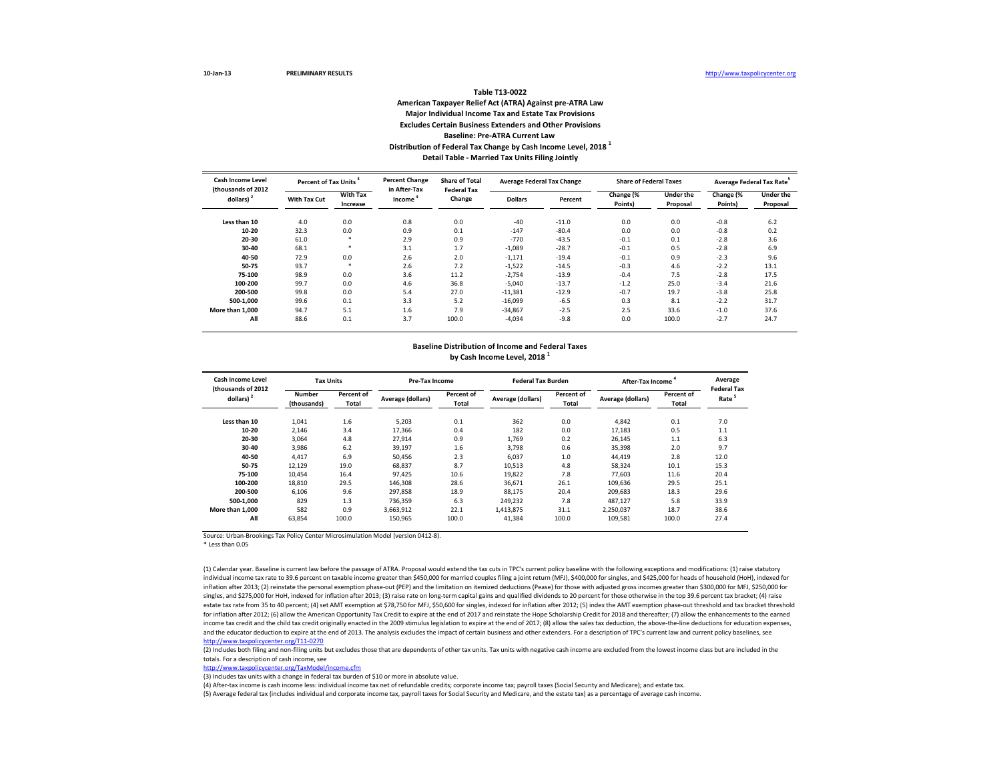#### **Table T13-0022 American Taxpayer Relief Act (ATRA) Against pre-ATRA Law Major Individual Income Tax and Estate Tax Provisions Excludes Certain Business Extenders and Other Provisions Baseline: Pre-ATRA Current Law Distribution of Federal Tax Change by Cash Income Level, 2018 <sup>1</sup> Detail Table - Married Tax Units Filing Jointly**

| Cash Income Level<br>(thousands of 2012 |              | Percent of Tax Units <sup>3</sup> |                        | <b>Share of Total</b><br><b>Federal Tax</b> | <b>Average Federal Tax Change</b> |         | <b>Share of Federal Taxes</b> |                              | Average Federal Tax Rate |                              |
|-----------------------------------------|--------------|-----------------------------------|------------------------|---------------------------------------------|-----------------------------------|---------|-------------------------------|------------------------------|--------------------------|------------------------------|
| dollars) $2$                            | With Tax Cut | With Tax<br>Increase              | in After-Tax<br>Income | Change                                      | <b>Dollars</b>                    | Percent | Change (%<br>Points)          | <b>Under the</b><br>Proposal | Change (%<br>Points)     | <b>Under the</b><br>Proposal |
| Less than 10                            | 4.0          | 0.0                               | 0.8                    | 0.0                                         | $-40$                             | $-11.0$ | 0.0                           | 0.0                          | $-0.8$                   | 6.2                          |
| $10 - 20$                               | 32.3         | 0.0                               | 0.9                    | 0.1                                         | $-147$                            | $-80.4$ | 0.0                           | 0.0                          | $-0.8$                   | 0.2                          |
| 20-30                                   | 61.0         | $\ast$                            | 2.9                    | 0.9                                         | $-770$                            | $-43.5$ | $-0.1$                        | 0.1                          | $-2.8$                   | 3.6                          |
| 30-40                                   | 68.1         | $\ast$                            | 3.1                    | 1.7                                         | $-1,089$                          | $-28.7$ | $-0.1$                        | 0.5                          | $-2.8$                   | 6.9                          |
| 40-50                                   | 72.9         | 0.0                               | 2.6                    | 2.0                                         | $-1,171$                          | $-19.4$ | $-0.1$                        | 0.9                          | $-2.3$                   | 9.6                          |
| 50-75                                   | 93.7         | $\ast$                            | 2.6                    | 7.2                                         | $-1,522$                          | $-14.5$ | $-0.3$                        | 4.6                          | $-2.2$                   | 13.1                         |
| 75-100                                  | 98.9         | 0.0                               | 3.6                    | 11.2                                        | $-2,754$                          | $-13.9$ | $-0.4$                        | 7.5                          | $-2.8$                   | 17.5                         |
| 100-200                                 | 99.7         | 0.0                               | 4.6                    | 36.8                                        | $-5,040$                          | $-13.7$ | $-1.2$                        | 25.0                         | $-3.4$                   | 21.6                         |
| 200-500                                 | 99.8         | 0.0                               | 5.4                    | 27.0                                        | $-11,381$                         | $-12.9$ | $-0.7$                        | 19.7                         | $-3.8$                   | 25.8                         |
| 500-1.000                               | 99.6         | 0.1                               | 3.3                    | 5.2                                         | $-16,099$                         | $-6.5$  | 0.3                           | 8.1                          | $-2.2$                   | 31.7                         |
| More than 1.000                         | 94.7         | 5.1                               | 1.6                    | 7.9                                         | $-34,867$                         | $-2.5$  | 2.5                           | 33.6                         | $-1.0$                   | 37.6                         |
| All                                     | 88.6         | 0.1                               | 3.7                    | 100.0                                       | $-4,034$                          | $-9.8$  | 0.0                           | 100.0                        | $-2.7$                   | 24.7                         |

# **Baseline Distribution of Income and Federal Taxes**

**by Cash Income Level, 2018 1**

| Cash Income Level<br>(thousands of 2012 |                       | <b>Tax Units</b>    |                   | <b>Pre-Tax Income</b>      |                   | <b>Federal Tax Burden</b> | <b>After-Tax Income</b> |                     | Average<br><b>Federal Tax</b> |
|-----------------------------------------|-----------------------|---------------------|-------------------|----------------------------|-------------------|---------------------------|-------------------------|---------------------|-------------------------------|
| dollars) <sup>2</sup>                   | Number<br>(thousands) | Percent of<br>Total | Average (dollars) | Percent of<br><b>Total</b> | Average (dollars) | Percent of<br>Total       | Average (dollars)       | Percent of<br>Total | Rate                          |
| Less than 10                            | 1.041                 | 1.6                 | 5,203             | 0.1                        | 362               | 0.0                       | 4,842                   | 0.1                 | 7.0                           |
| 10-20                                   | 2,146                 | 3.4                 | 17,366            | 0.4                        | 182               | 0.0                       | 17.183                  | 0.5                 | 1.1                           |
| 20-30                                   | 3,064                 | 4.8                 | 27,914            | 0.9                        | 1,769             | 0.2                       | 26,145                  | 1.1                 | 6.3                           |
| 30-40                                   | 3,986                 | 6.2                 | 39,197            | 1.6                        | 3,798             | 0.6                       | 35,398                  | 2.0                 | 9.7                           |
| 40-50                                   | 4,417                 | 6.9                 | 50,456            | 2.3                        | 6,037             | 1.0                       | 44.419                  | 2.8                 | 12.0                          |
| 50-75                                   | 12,129                | 19.0                | 68,837            | 8.7                        | 10,513            | 4.8                       | 58,324                  | 10.1                | 15.3                          |
| 75-100                                  | 10.454                | 16.4                | 97.425            | 10.6                       | 19,822            | 7.8                       | 77.603                  | 11.6                | 20.4                          |
| 100-200                                 | 18.810                | 29.5                | 146.308           | 28.6                       | 36.671            | 26.1                      | 109.636                 | 29.5                | 25.1                          |
| 200-500                                 | 6,106                 | 9.6                 | 297,858           | 18.9                       | 88,175            | 20.4                      | 209,683                 | 18.3                | 29.6                          |
| 500-1.000                               | 829                   | 1.3                 | 736.359           | 6.3                        | 249.232           | 7.8                       | 487.127                 | 5.8                 | 33.9                          |
| More than 1.000                         | 582                   | 0.9                 | 3,663,912         | 22.1                       | 1,413,875         | 31.1                      | 2,250,037               | 18.7                | 38.6                          |
| All                                     | 63,854                | 100.0               | 150,965           | 100.0                      | 41.384            | 100.0                     | 109,581                 | 100.0               | 27.4                          |

Source: Urban-Brookings Tax Policy Center Microsimulation Model (version 0412-8).

\* Less than 0.05

(1) Calendar year. Baseline is current law before the passage of ATRA. Proposal would extend the tax cuts in TPC's current policy baseline with the following exceptions and modifications: (1) raise statutory individual income tax rate to 39.6 percent on taxable income greater than \$450,000 for married couples filing a joint return (MFJ), \$400,000 for singles, and \$425,000 for heads of household (HoH), indexed for inflation after 2013; (2) reinstate the personal exemption phase-out (PEP) and the limitation on itemized deductions (Pease) for those with adjusted gross incomes greater than \$300,000 for MFJ, \$250,000 for singles, and \$275,000 for HoH, indexed for inflation after 2013; (3) raise rate on long-term capital gains and qualified dividends to 20 percent for those otherwise in the top 39.6 percent tax bracket; (4) raise estate tax rate from 35 to 40 percent; (4) set AMT exemption at \$78,750 for MFJ, \$50,600 for singles, indexed for inflation after 2012; (5) index the AMT exemption phase-out threshold and tax bracket threshold for inflation after 2012; (6) allow the American Opportunity Tax Credit to expire at the end of 2017 and reinstate the Hope Scholarship Credit for 2018 and thereafter; (7) allow the enhancements to the earned income tax credit and the child tax credit originally enacted in the 2009 stimulus legislation to expire at the end of 2017; (8) allow the sales tax deduction, the above-the-line deductions for education expenses, and the educator deduction to expire at the end of 2013. The analysis excludes the impact of certain business and other extenders. For a description of TPC's current law and current policy baselines, see <http://www.taxpolicycenter.org/T11-0270>

(2) Includes both filing and non-filing units but excludes those that are dependents of other tax units. Tax units with negative cash income are excluded from the lowest income class but are included in the totals. For a description of cash income, see

<http://www.taxpolicycenter.org/TaxModel/income.cfm>

(3) Includes tax units with a change in federal tax burden of \$10 or more in absolute value.

(4) After-tax income is cash income less: individual income tax net of refundable credits; corporate income tax; payroll taxes (Social Security and Medicare); and estate tax.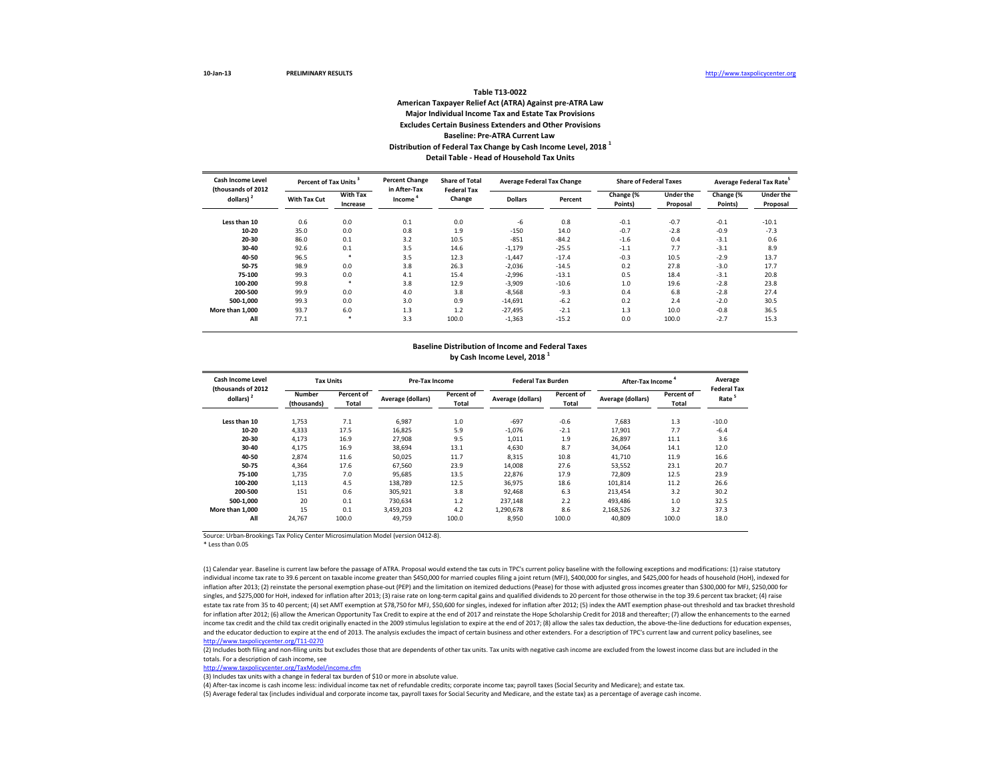#### **Table T13-0022 American Taxpayer Relief Act (ATRA) Against pre-ATRA Law Major Individual Income Tax and Estate Tax Provisions Excludes Certain Business Extenders and Other Provisions Baseline: Pre-ATRA Current Law Distribution of Federal Tax Change by Cash Income Level, 2018 <sup>1</sup> Detail Table - Head of Household Tax Units**

| Cash Income Level<br>(thousands of 2012) |                     | Percent of Tax Units <sup>3</sup> |                        | <b>Share of Total</b><br><b>Federal Tax</b> | <b>Average Federal Tax Change</b> |         | <b>Share of Federal Taxes</b> |                              | Average Federal Tax Rate |                              |  |
|------------------------------------------|---------------------|-----------------------------------|------------------------|---------------------------------------------|-----------------------------------|---------|-------------------------------|------------------------------|--------------------------|------------------------------|--|
| dollars) $2$                             | <b>With Tax Cut</b> | <b>With Tax</b><br>Increase       | in After-Tax<br>Income | Change                                      | <b>Dollars</b>                    | Percent | Change (%<br>Points)          | <b>Under the</b><br>Proposal | Change (%<br>Points)     | <b>Under the</b><br>Proposal |  |
| Less than 10                             | 0.6                 | 0.0                               | 0.1                    | 0.0                                         | -6                                | 0.8     | $-0.1$                        | $-0.7$                       | $-0.1$                   | $-10.1$                      |  |
| $10 - 20$                                | 35.0                | 0.0                               | 0.8                    | 1.9                                         | $-150$                            | 14.0    | $-0.7$                        | $-2.8$                       | $-0.9$                   | $-7.3$                       |  |
| 20-30                                    | 86.0                | 0.1                               | 3.2                    | 10.5                                        | $-851$                            | $-84.2$ | $-1.6$                        | 0.4                          | $-3.1$                   | 0.6                          |  |
| 30-40                                    | 92.6                | 0.1                               | 3.5                    | 14.6                                        | $-1,179$                          | $-25.5$ | $-1.1$                        | 7.7                          | $-3.1$                   | 8.9                          |  |
| 40-50                                    | 96.5                | $\ast$                            | 3.5                    | 12.3                                        | $-1,447$                          | $-17.4$ | $-0.3$                        | 10.5                         | $-2.9$                   | 13.7                         |  |
| 50-75                                    | 98.9                | 0.0                               | 3.8                    | 26.3                                        | $-2,036$                          | $-14.5$ | 0.2                           | 27.8                         | $-3.0$                   | 17.7                         |  |
| 75-100                                   | 99.3                | 0.0                               | 4.1                    | 15.4                                        | $-2,996$                          | $-13.1$ | 0.5                           | 18.4                         | $-3.1$                   | 20.8                         |  |
| 100-200                                  | 99.8                | $\ast$                            | 3.8                    | 12.9                                        | $-3,909$                          | $-10.6$ | 1.0                           | 19.6                         | $-2.8$                   | 23.8                         |  |
| 200-500                                  | 99.9                | 0.0                               | 4.0                    | 3.8                                         | $-8,568$                          | $-9.3$  | 0.4                           | 6.8                          | $-2.8$                   | 27.4                         |  |
| 500-1.000                                | 99.3                | 0.0                               | 3.0                    | 0.9                                         | $-14,691$                         | $-6.2$  | 0.2                           | 2.4                          | $-2.0$                   | 30.5                         |  |
| More than 1,000                          | 93.7                | 6.0                               | 1.3                    | 1.2                                         | $-27.495$                         | $-2.1$  | 1.3                           | 10.0                         | $-0.8$                   | 36.5                         |  |
| All                                      | 77.1                | $\ast$                            | 3.3                    | 100.0                                       | $-1,363$                          | $-15.2$ | 0.0                           | 100.0                        | $-2.7$                   | 15.3                         |  |

# **Baseline Distribution of Income and Federal Taxes**

**by Cash Income Level, 2018 1**

| Cash Income Level<br>(thousands of 2012 | <b>Tax Units</b>      |                     | <b>Pre-Tax Income</b> |                            | <b>Federal Tax Burden</b> |                     | <b>After-Tax Income</b> |                            | Average<br><b>Federal Tax</b> |
|-----------------------------------------|-----------------------|---------------------|-----------------------|----------------------------|---------------------------|---------------------|-------------------------|----------------------------|-------------------------------|
| dollars) <sup>2</sup>                   | Number<br>(thousands) | Percent of<br>Total | Average (dollars)     | Percent of<br><b>Total</b> | Average (dollars)         | Percent of<br>Total | Average (dollars)       | Percent of<br><b>Total</b> | Rate                          |
| Less than 10                            | 1,753                 | 7.1                 | 6,987                 | 1.0                        | $-697$                    | $-0.6$              | 7.683                   | 1.3                        | $-10.0$                       |
| 10-20                                   | 4,333                 | 17.5                | 16,825                | 5.9                        | $-1,076$                  | $-2.1$              | 17,901                  | 7.7                        | $-6.4$                        |
| 20-30                                   | 4,173                 | 16.9                | 27,908                | 9.5                        | 1,011                     | 1.9                 | 26,897                  | 11.1                       | 3.6                           |
| 30-40                                   | 4,175                 | 16.9                | 38,694                | 13.1                       | 4,630                     | 8.7                 | 34,064                  | 14.1                       | 12.0                          |
| 40-50                                   | 2,874                 | 11.6                | 50,025                | 11.7                       | 8,315                     | 10.8                | 41,710                  | 11.9                       | 16.6                          |
| 50-75                                   | 4,364                 | 17.6                | 67,560                | 23.9                       | 14,008                    | 27.6                | 53,552                  | 23.1                       | 20.7                          |
| 75-100                                  | 1.735                 | 7.0                 | 95.685                | 13.5                       | 22,876                    | 17.9                | 72.809                  | 12.5                       | 23.9                          |
| 100-200                                 | 1.113                 | 4.5                 | 138.789               | 12.5                       | 36.975                    | 18.6                | 101.814                 | 11.2                       | 26.6                          |
| 200-500                                 | 151                   | 0.6                 | 305,921               | 3.8                        | 92,468                    | 6.3                 | 213.454                 | 3.2                        | 30.2                          |
| 500-1.000                               | 20                    | 0.1                 | 730.634               | 1.2                        | 237.148                   | 2.2                 | 493.486                 | 1.0                        | 32.5                          |
| More than 1.000                         | 15                    | 0.1                 | 3,459,203             | 4.2                        | 1.290.678                 | 8.6                 | 2,168,526               | 3.2                        | 37.3                          |
| All                                     | 24.767                | 100.0               | 49,759                | 100.0                      | 8,950                     | 100.0               | 40.809                  | 100.0                      | 18.0                          |

Source: Urban-Brookings Tax Policy Center Microsimulation Model (version 0412-8).

\* Less than 0.05

(1) Calendar year. Baseline is current law before the passage of ATRA. Proposal would extend the tax cuts in TPC's current policy baseline with the following exceptions and modifications: (1) raise statutory individual income tax rate to 39.6 percent on taxable income greater than \$450,000 for married couples filing a joint return (MFJ), \$400,000 for singles, and \$425,000 for heads of household (HoH), indexed for inflation after 2013; (2) reinstate the personal exemption phase-out (PEP) and the limitation on itemized deductions (Pease) for those with adjusted gross incomes greater than \$300,000 for MFJ, \$250,000 for singles, and \$275,000 for HoH, indexed for inflation after 2013; (3) raise rate on long-term capital gains and qualified dividends to 20 percent for those otherwise in the top 39.6 percent tax bracket; (4) raise estate tax rate from 35 to 40 percent; (4) set AMT exemption at \$78,750 for MFJ, \$50,600 for singles, indexed for inflation after 2012; (5) index the AMT exemption phase-out threshold and tax bracket threshold for inflation after 2012; (6) allow the American Opportunity Tax Credit to expire at the end of 2017 and reinstate the Hope Scholarship Credit for 2018 and thereafter; (7) allow the enhancements to the earned income tax credit and the child tax credit originally enacted in the 2009 stimulus legislation to expire at the end of 2017; (8) allow the sales tax deduction, the above-the-line deductions for education expenses, and the educator deduction to expire at the end of 2013. The analysis excludes the impact of certain business and other extenders. For a description of TPC's current law and current policy baselines, see <http://www.taxpolicycenter.org/T11-0270>

(2) Includes both filing and non-filing units but excludes those that are dependents of other tax units. Tax units with negative cash income are excluded from the lowest income class but are included in the totals. For a description of cash income, see

<http://www.taxpolicycenter.org/TaxModel/income.cfm>

(3) Includes tax units with a change in federal tax burden of \$10 or more in absolute value.

(4) After-tax income is cash income less: individual income tax net of refundable credits; corporate income tax; payroll taxes (Social Security and Medicare); and estate tax.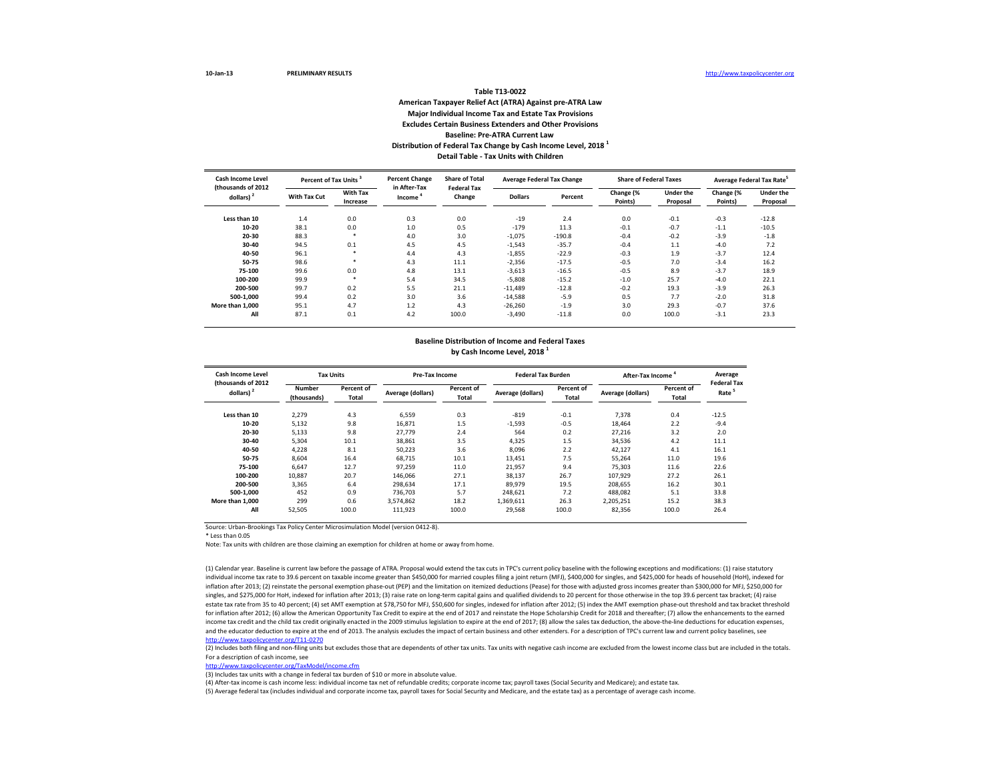#### **Table T13-0022 American Taxpayer Relief Act (ATRA) Against pre-ATRA Law Major Individual Income Tax and Estate Tax Provisions Excludes Certain Business Extenders and Other Provisions Baseline: Pre-ATRA Current Law Distribution of Federal Tax Change by Cash Income Level, 2018 1 Detail Table - Tax Units with Children**

| Cash Income Level<br>(thousands of 2012) | Percent of Tax Units |                                          | <b>Percent Change</b><br>in After-Tax | <b>Share of Total</b><br><b>Federal Tax</b> | <b>Average Federal Tax Change</b> |                              | <b>Share of Federal Taxes</b> |                              | Average Federal Tax Rate <sup>3</sup> |         |  |
|------------------------------------------|----------------------|------------------------------------------|---------------------------------------|---------------------------------------------|-----------------------------------|------------------------------|-------------------------------|------------------------------|---------------------------------------|---------|--|
| dollars) <sup>2</sup>                    | With Tax Cut         | With Tax<br>Change<br>Income<br>Increase | <b>Dollars</b>                        | Percent                                     | Change (%<br>Points)              | <b>Under the</b><br>Proposal | Change (%<br>Points)          | <b>Under the</b><br>Proposal |                                       |         |  |
| Less than 10                             | 1.4                  | 0.0                                      | 0.3                                   | 0.0                                         | $-19$                             | 2.4                          | 0.0                           | $-0.1$                       | $-0.3$                                | $-12.8$ |  |
| 10-20                                    | 38.1                 | 0.0                                      | 1.0                                   | 0.5                                         | $-179$                            | 11.3                         | $-0.1$                        | $-0.7$                       | $-1.1$                                | $-10.5$ |  |
| 20-30                                    | 88.3                 |                                          | 4.0                                   | 3.0                                         | $-1,075$                          | $-190.8$                     | $-0.4$                        | $-0.2$                       | $-3.9$                                | $-1.8$  |  |
| 30-40                                    | 94.5                 | 0.1                                      | 4.5                                   | 4.5                                         | $-1,543$                          | $-35.7$                      | $-0.4$                        | 1.1                          | $-4.0$                                | 7.2     |  |
| 40-50                                    | 96.1                 | $\ast$                                   | 4.4                                   | 4.3                                         | $-1,855$                          | $-22.9$                      | $-0.3$                        | 1.9                          | $-3.7$                                | 12.4    |  |
| 50-75                                    | 98.6                 | $\star$                                  | 4.3                                   | 11.1                                        | $-2,356$                          | $-17.5$                      | $-0.5$                        | 7.0                          | $-3.4$                                | 16.2    |  |
| 75-100                                   | 99.6                 | 0.0                                      | 4.8                                   | 13.1                                        | $-3,613$                          | $-16.5$                      | $-0.5$                        | 8.9                          | $-3.7$                                | 18.9    |  |
| 100-200                                  | 99.9                 | $\star$                                  | 5.4                                   | 34.5                                        | $-5,808$                          | $-15.2$                      | $-1.0$                        | 25.7                         | $-4.0$                                | 22.1    |  |
| 200-500                                  | 99.7                 | 0.2                                      | 5.5                                   | 21.1                                        | $-11,489$                         | $-12.8$                      | $-0.2$                        | 19.3                         | $-3.9$                                | 26.3    |  |
| 500-1.000                                | 99.4                 | 0.2                                      | 3.0                                   | 3.6                                         | $-14,588$                         | $-5.9$                       | 0.5                           | 7.7                          | $-2.0$                                | 31.8    |  |
| More than 1.000                          | 95.1                 | 4.7                                      | 1.2                                   | 4.3                                         | $-26,260$                         | $-1.9$                       | 3.0                           | 29.3                         | $-0.7$                                | 37.6    |  |
| All                                      | 87.1                 | 0.1                                      | 4.2                                   | 100.0                                       | $-3,490$                          | $-11.8$                      | 0.0                           | 100.0                        | $-3.1$                                | 23.3    |  |

#### **Baseline Distribution of Income and Federal Taxes by Cash Income Level, 2018 1**

| Cash Income Level<br>(thousands of 2012 |                       | <b>Tax Units</b>    |                   | <b>Pre-Tax Income</b> |                   | <b>Federal Tax Burden</b> | After-Tax Income  |                     | Average<br><b>Federal Tax</b> |
|-----------------------------------------|-----------------------|---------------------|-------------------|-----------------------|-------------------|---------------------------|-------------------|---------------------|-------------------------------|
| dollars) <sup>2</sup>                   | Number<br>(thousands) | Percent of<br>Total | Average (dollars) | Percent of<br>Total   | Average (dollars) | Percent of<br>Total       | Average (dollars) | Percent of<br>Total | Rate                          |
| Less than 10                            | 2,279                 | 4.3                 | 6.559             | 0.3                   | $-819$            | $-0.1$                    | 7,378             | 0.4                 | $-12.5$                       |
| 10-20                                   | 5.132                 | 9.8                 | 16.871            | 1.5                   | $-1.593$          | $-0.5$                    | 18.464            | 2.2                 | $-9.4$                        |
| 20-30                                   | 5,133                 | 9.8                 | 27.779            | 2.4                   | 564               | 0.2                       | 27.216            | 3.2                 | 2.0                           |
| 30-40                                   | 5,304                 | 10.1                | 38,861            | 3.5                   | 4,325             | 1.5                       | 34,536            | 4.2                 | 11.1                          |
| 40-50                                   | 4,228                 | 8.1                 | 50.223            | 3.6                   | 8.096             | 2.2                       | 42,127            | 4.1                 | 16.1                          |
| 50-75                                   | 8.604                 | 16.4                | 68.715            | 10.1                  | 13.451            | 7.5                       | 55.264            | 11.0                | 19.6                          |
| 75-100                                  | 6.647                 | 12.7                | 97.259            | 11.0                  | 21,957            | 9.4                       | 75,303            | 11.6                | 22.6                          |
| 100-200                                 | 10,887                | 20.7                | 146.066           | 27.1                  | 38,137            | 26.7                      | 107,929           | 27.2                | 26.1                          |
| 200-500                                 | 3.365                 | 6.4                 | 298.634           | 17.1                  | 89.979            | 19.5                      | 208.655           | 16.2                | 30.1                          |
| 500-1.000                               | 452                   | 0.9                 | 736.703           | 5.7                   | 248.621           | 7.2                       | 488.082           | 5.1                 | 33.8                          |
| More than 1.000                         | 299                   | 0.6                 | 3.574.862         | 18.2                  | 1,369,611         | 26.3                      | 2,205,251         | 15.2                | 38.3                          |
| All                                     | 52,505                | 100.0               | 111,923           | 100.0                 | 29,568            | 100.0                     | 82,356            | 100.0               | 26.4                          |

Source: Urban-Brookings Tax Policy Center Microsimulation Model (version 0412-8).

\* Less than 0.05

Note: Tax units with children are those claiming an exemption for children at home or away from home.

(1) Calendar year. Baseline is current law before the passage of ATRA. Proposal would extend the tax cuts in TPC's current policy baseline with the following exceptions and modifications: (1) raise statutory individual income tax rate to 39.6 percent on taxable income greater than \$450,000 for married couples filing a joint return (MFJ), \$400,000 for singles, and \$425,000 for heads of household (HoH), indexed for inflation after 2013; (2) reinstate the personal exemption phase-out (PEP) and the limitation on itemized deductions (Pease) for those with adjusted gross incomes greater than \$300,000 for MFJ, \$250,000 for singles, and \$275,000 for HoH, indexed for inflation after 2013; (3) raise rate on long-term capital gains and qualified dividends to 20 percent for those otherwise in the top 39.6 percent tax bracket; (4) raise estate tax rate from 35 to 40 percent; (4) set AMT exemption at \$78,750 for MFJ, \$50,600 for singles, indexed for inflation after 2012; (5) index the AMT exemption phase-out threshold and tax bracket threshold for inflation after 2012; (6) allow the American Opportunity Tax Credit to expire at the end of 2017 and reinstate the Hope Scholarship Credit for 2018 and thereafter; (7) allow the enhancements to the earned income tax credit and the child tax credit originally enacted in the 2009 stimulus legislation to expire at the end of 2017; (8) allow the sales tax deduction, the above-the-line deductions for education expenses, and the educator deduction to expire at the end of 2013. The analysis excludes the impact of certain business and other extenders. For a description of TPC's current law and current policy baselines, see <http://www.taxpolicycenter.org/T11-0270>

(2) Includes both filing and non-filing units but excludes those that are dependents of other tax units. Tax units with negative cash income are excluded from the lowest income class but are included in the totals. For a description of cash income, see

<http://www.taxpolicycenter.org/TaxModel/income.cfm>

(3) Includes tax units with a change in federal tax burden of \$10 or more in absolute value.

(4) After-tax income is cash income less: individual income tax net of refundable credits; corporate income tax; payroll taxes (Social Security and Medicare); and estate tax.